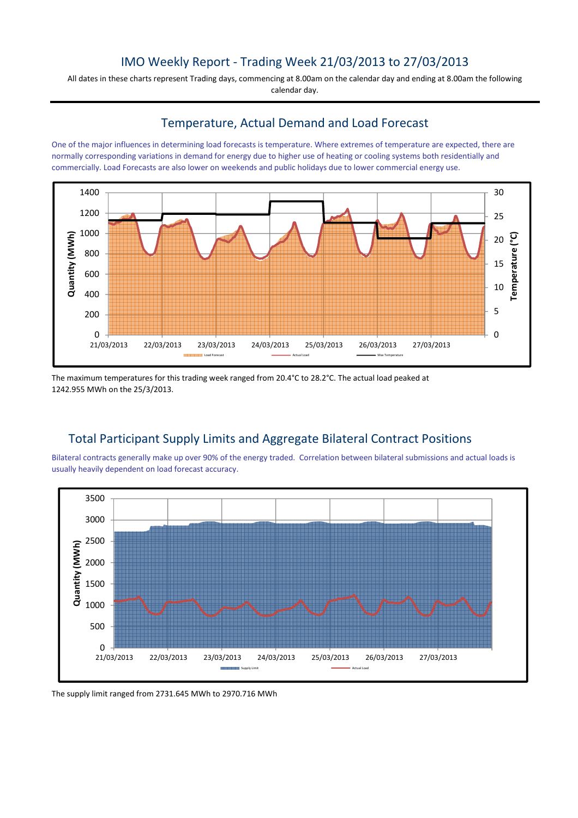## IMO Weekly Report - Trading Week 21/03/2013 to 27/03/2013

All dates in these charts represent Trading days, commencing at 8.00am on the calendar day and ending at 8.00am the following calendar day.

#### Temperature, Actual Demand and Load Forecast

One of the major influences in determining load forecasts is temperature. Where extremes of temperature are expected, there are normally corresponding variations in demand for energy due to higher use of heating or cooling systems both residentially and commercially. Load Forecasts are also lower on weekends and public holidays due to lower commercial energy use.



The maximum temperatures for this trading week ranged from 20.4°C to 28.2°C. The actual load peaked at 1242.955 MWh on the 25/3/2013.

# Total Participant Supply Limits and Aggregate Bilateral Contract Positions

Bilateral contracts generally make up over 90% of the energy traded. Correlation between bilateral submissions and actual loads is usually heavily dependent on load forecast accuracy.



The supply limit ranged from 2731.645 MWh to 2970.716 MWh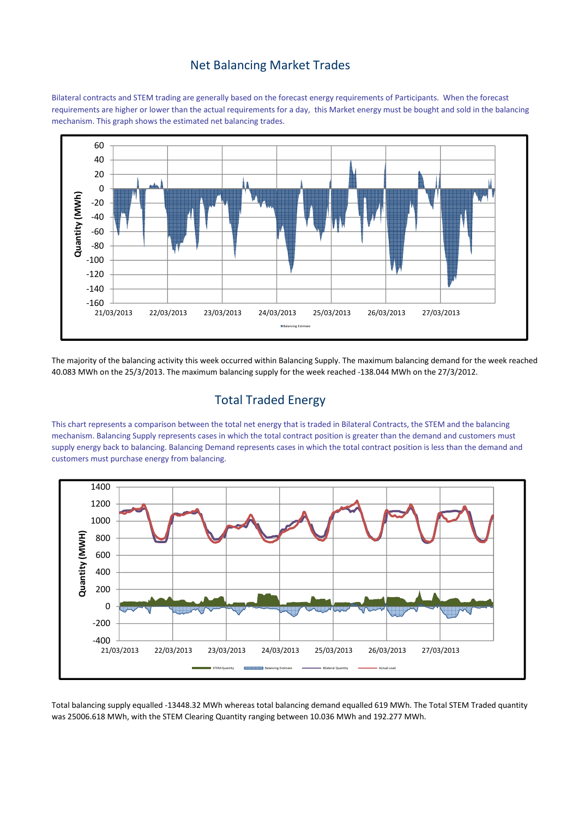### Net Balancing Market Trades

Bilateral contracts and STEM trading are generally based on the forecast energy requirements of Participants. When the forecast requirements are higher or lower than the actual requirements for a day, this Market energy must be bought and sold in the balancing mechanism. This graph shows the estimated net balancing trades.



The majority of the balancing activity this week occurred within Balancing Supply. The maximum balancing demand for the week reached 40.083 MWh on the 25/3/2013. The maximum balancing supply for the week reached -138.044 MWh on the 27/3/2012.

## Total Traded Energy

This chart represents a comparison between the total net energy that is traded in Bilateral Contracts, the STEM and the balancing mechanism. Balancing Supply represents cases in which the total contract position is greater than the demand and customers must supply energy back to balancing. Balancing Demand represents cases in which the total contract position is less than the demand and customers must purchase energy from balancing.



Total balancing supply equalled -13448.32 MWh whereas total balancing demand equalled 619 MWh. The Total STEM Traded quantity was 25006.618 MWh, with the STEM Clearing Quantity ranging between 10.036 MWh and 192.277 MWh.